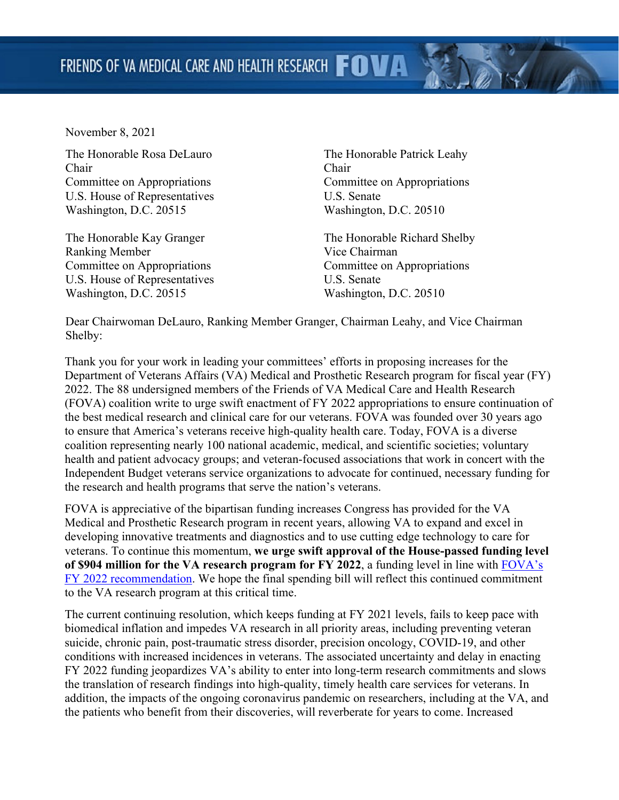November 8, 2021

The Honorable Rosa DeLauro Chair Committee on Appropriations U.S. House of Representatives Washington, D.C. 20515

The Honorable Kay Granger Ranking Member Committee on Appropriations U.S. House of Representatives Washington, D.C. 20515

The Honorable Patrick Leahy Chair Committee on Appropriations U.S. Senate Washington, D.C. 20510

The Honorable Richard Shelby Vice Chairman Committee on Appropriations U.S. Senate Washington, D.C. 20510

Dear Chairwoman DeLauro, Ranking Member Granger, Chairman Leahy, and Vice Chairman Shelby:

Thank you for your work in leading your committees' efforts in proposing increases for the Department of Veterans Affairs (VA) Medical and Prosthetic Research program for fiscal year (FY) 2022. The 88 undersigned members of the Friends of VA Medical Care and Health Research (FOVA) coalition write to urge swift enactment of FY 2022 appropriations to ensure continuation of the best medical research and clinical care for our veterans. FOVA was founded over 30 years ago to ensure that America's veterans receive high-quality health care. Today, FOVA is a diverse coalition representing nearly 100 national academic, medical, and scientific societies; voluntary health and patient advocacy groups; and veteran-focused associations that work in concert with the Independent Budget veterans service organizations to advocate for continued, necessary funding for the research and health programs that serve the nation's veterans.

FOVA is appreciative of the bipartisan funding increases Congress has provided for the VA Medical and Prosthetic Research program in recent years, allowing VA to expand and excel in developing innovative treatments and diagnostics and to use cutting edge technology to care for veterans. To continue this momentum, **we urge swift approval of the House-passed funding level of \$904 million for the VA research program for FY 2022**, a funding level in line with [FOVA's](http://www.friendsofva.org/resources/2021/FY_2022_FOVA_Recommendation_1%20pager_2.24.21_Final.pdf)  [FY 2022 recommendation.](http://www.friendsofva.org/resources/2021/FY_2022_FOVA_Recommendation_1%20pager_2.24.21_Final.pdf) We hope the final spending bill will reflect this continued commitment to the VA research program at this critical time.

The current continuing resolution, which keeps funding at FY 2021 levels, fails to keep pace with biomedical inflation and impedes VA research in all priority areas, including preventing veteran suicide, chronic pain, post-traumatic stress disorder, precision oncology, COVID-19, and other conditions with increased incidences in veterans. The associated uncertainty and delay in enacting FY 2022 funding jeopardizes VA's ability to enter into long-term research commitments and slows the translation of research findings into high-quality, timely health care services for veterans. In addition, the impacts of the ongoing coronavirus pandemic on researchers, including at the VA, and the patients who benefit from their discoveries, will reverberate for years to come. Increased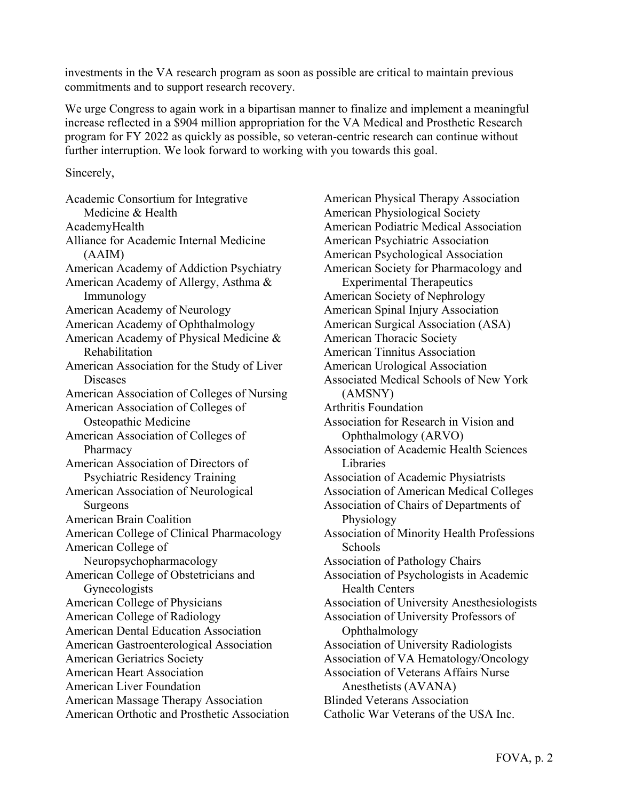investments in the VA research program as soon as possible are critical to maintain previous commitments and to support research recovery.

We urge Congress to again work in a bipartisan manner to finalize and implement a meaningful increase reflected in a \$904 million appropriation for the VA Medical and Prosthetic Research program for FY 2022 as quickly as possible, so veteran-centric research can continue without further interruption. We look forward to working with you towards this goal.

Sincerely,

Academic Consortium for Integrative Medicine & Health AcademyHealth Alliance for Academic Internal Medicine (AAIM) American Academy of Addiction Psychiatry American Academy of Allergy, Asthma & Immunology American Academy of Neurology American Academy of Ophthalmology American Academy of Physical Medicine & Rehabilitation American Association for the Study of Liver Diseases American Association of Colleges of Nursing American Association of Colleges of Osteopathic Medicine American Association of Colleges of Pharmacy American Association of Directors of Psychiatric Residency Training American Association of Neurological Surgeons American Brain Coalition American College of Clinical Pharmacology American College of Neuropsychopharmacology American College of Obstetricians and Gynecologists American College of Physicians American College of Radiology American Dental Education Association American Gastroenterological Association American Geriatrics Society American Heart Association American Liver Foundation American Massage Therapy Association American Orthotic and Prosthetic Association American Physical Therapy Association American Physiological Society American Podiatric Medical Association American Psychiatric Association American Psychological Association American Society for Pharmacology and Experimental Therapeutics American Society of Nephrology American Spinal Injury Association American Surgical Association (ASA) American Thoracic Society American Tinnitus Association American Urological Association Associated Medical Schools of New York (AMSNY) Arthritis Foundation Association for Research in Vision and Ophthalmology (ARVO) Association of Academic Health Sciences Libraries Association of Academic Physiatrists Association of American Medical Colleges Association of Chairs of Departments of Physiology Association of Minority Health Professions **Schools** Association of Pathology Chairs Association of Psychologists in Academic Health Centers Association of University Anesthesiologists Association of University Professors of Ophthalmology Association of University Radiologists Association of VA Hematology/Oncology Association of Veterans Affairs Nurse Anesthetists (AVANA) Blinded Veterans Association Catholic War Veterans of the USA Inc.